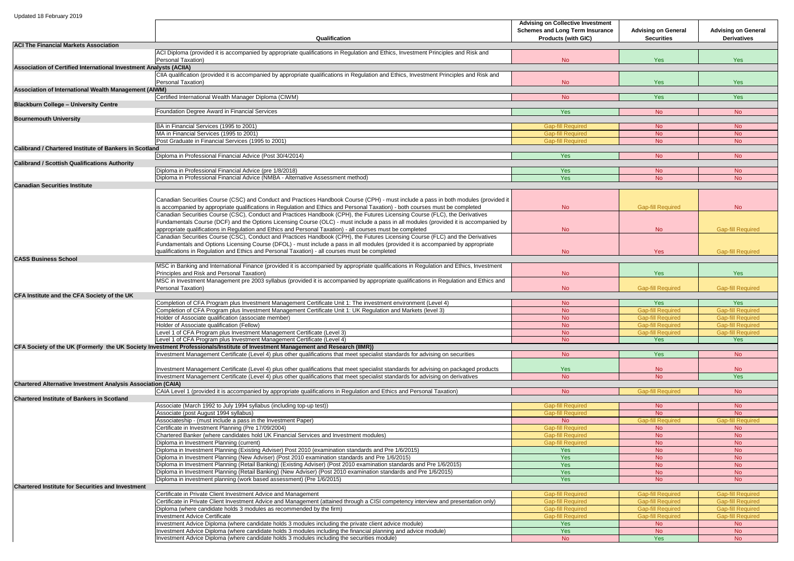|                                                                     |                                                                                                                                           | <b>Advising on Collective Investment</b> |                            |                            |
|---------------------------------------------------------------------|-------------------------------------------------------------------------------------------------------------------------------------------|------------------------------------------|----------------------------|----------------------------|
|                                                                     |                                                                                                                                           | <b>Schemes and Long Term Insurance</b>   | <b>Advising on General</b> | <b>Advising on General</b> |
|                                                                     |                                                                                                                                           |                                          |                            |                            |
|                                                                     | Qualification                                                                                                                             | <b>Products (with GIC)</b>               | <b>Securities</b>          | <b>Derivatives</b>         |
| <b>ACI The Financial Markets Association</b>                        |                                                                                                                                           |                                          |                            |                            |
|                                                                     | ACI Diploma (provided it is accompanied by appropriate qualifications in Regulation and Ethics, Investment Principles and Risk and        |                                          |                            |                            |
|                                                                     | Personal Taxation)                                                                                                                        | No                                       | <b>Yes</b>                 | Yes                        |
| Association of Certified International Investment Analysts (ACIIA)  |                                                                                                                                           |                                          |                            |                            |
|                                                                     | CIIA qualification (provided it is accompanied by appropriate qualifications in Regulation and Ethics, Investment Principles and Risk and |                                          |                            |                            |
|                                                                     | Personal Taxation)                                                                                                                        | <b>No</b>                                | <b>Yes</b>                 | Yes                        |
|                                                                     |                                                                                                                                           |                                          |                            |                            |
| <b>Association of International Wealth Management (AIWM)</b>        |                                                                                                                                           |                                          |                            |                            |
|                                                                     | Certified International Wealth Manager Diploma (CIWM)                                                                                     | N <sub>o</sub>                           | <b>Yes</b>                 | <b>Yes</b>                 |
| <b>Blackburn College - University Centre</b>                        |                                                                                                                                           |                                          |                            |                            |
|                                                                     | Foundation Degree Award in Financial Services                                                                                             | Yes                                      | No.                        | <b>No</b>                  |
| <b>Bournemouth University</b>                                       |                                                                                                                                           |                                          |                            |                            |
|                                                                     | BA in Financial Services (1995 to 2001)                                                                                                   | <b>Gap-fill Required</b>                 | No.                        | <b>No</b>                  |
|                                                                     |                                                                                                                                           |                                          |                            |                            |
|                                                                     | MA in Financial Services (1995 to 2001)                                                                                                   | <b>Gap-fill Required</b>                 | No                         | <b>No</b>                  |
|                                                                     | Post Graduate in Financial Services (1995 to 2001)                                                                                        | <b>Gap-fill Required</b>                 | No                         | N <sub>o</sub>             |
| <b>Calibrand / Chartered Institute of Bankers in Scotland</b>       |                                                                                                                                           |                                          |                            |                            |
|                                                                     | Diploma in Professional Financial Advice (Post 30/4/2014)                                                                                 | Yes                                      | No                         | <b>No</b>                  |
| <b>Calibrand / Scottish Qualifications Authority</b>                |                                                                                                                                           |                                          |                            |                            |
|                                                                     | Diploma in Professional Financial Advice (pre 1/8/2018)                                                                                   | Yes                                      | No                         | No.                        |
|                                                                     | Diploma in Professional Financial Advice (NMBA - Alternative Assessment method)                                                           |                                          |                            |                            |
|                                                                     |                                                                                                                                           | Yes                                      | <b>No</b>                  | <b>No</b>                  |
| <b>Canadian Securities Institute</b>                                |                                                                                                                                           |                                          |                            |                            |
|                                                                     |                                                                                                                                           |                                          |                            |                            |
|                                                                     | Canadian Securities Course (CSC) and Conduct and Practices Handbook Course (CPH) - must include a pass in both modules (provided it       |                                          |                            |                            |
|                                                                     | is accompanied by appropriate qualifications in Regulation and Ethics and Personal Taxation) - both courses must be completed             | <b>No</b>                                | <b>Gap-fill Required</b>   | <b>No</b>                  |
|                                                                     | Canadian Securities Course (CSC), Conduct and Practices Handbook (CPH), the Futures Licensing Course (FLC), the Derivatives               |                                          |                            |                            |
|                                                                     |                                                                                                                                           |                                          |                            |                            |
|                                                                     | Fundamentals Course (DCF) and the Options Licensing Course (OLC) - must include a pass in all modules (provided it is accompanied by      |                                          |                            |                            |
|                                                                     | appropriate qualifications in Regulation and Ethics and Personal Taxation) - all courses must be completed                                | <b>No</b>                                | No                         | <b>Gap-fill Required</b>   |
|                                                                     | Canadian Securities Course (CSC), Conduct and Practices Handbook (CPH), the Futures Licensing Course (FLC) and the Derivatives            |                                          |                            |                            |
|                                                                     | Fundamentals and Options Licensing Course (DFOL) - must include a pass in all modules (provided it is accompanied by appropriate          |                                          |                            |                            |
|                                                                     | qualifications in Regulation and Ethics and Personal Taxation) - all courses must be completed                                            | <b>No</b>                                | <b>Yes</b>                 | <b>Gap-fill Required</b>   |
| <b>CASS Business School</b>                                         |                                                                                                                                           |                                          |                            |                            |
|                                                                     |                                                                                                                                           |                                          |                            |                            |
|                                                                     | MSC in Banking and International Finance (provided it is accompanied by appropriate qualifications in Regulation and Ethics, Investment   |                                          |                            |                            |
|                                                                     | Principles and Risk and Personal Taxation)                                                                                                | <b>No</b>                                | <b>Yes</b>                 | <b>Yes</b>                 |
|                                                                     | MSC in Investment Management pre 2003 syllabus (provided it is accompanied by appropriate qualifications in Regulation and Ethics and     |                                          |                            |                            |
|                                                                     | Personal Taxation)                                                                                                                        | No                                       | <b>Gap-fill Required</b>   | <b>Gap-fill Required</b>   |
| CFA Institute and the CFA Society of the UK                         |                                                                                                                                           |                                          |                            |                            |
|                                                                     | Completion of CFA Program plus Investment Management Certificate Unit 1: The investment environment (Level 4)                             | N <sub>o</sub>                           | <b>Yes</b>                 | Yes                        |
|                                                                     | Completion of CFA Program plus Investment Management Certificate Unit 1: UK Regulation and Markets (level 3)                              |                                          | <b>Gap-fill Required</b>   | <b>Gap-fill Required</b>   |
|                                                                     |                                                                                                                                           | N <sub>o</sub>                           |                            |                            |
|                                                                     | Holder of Associate qualification (associate member)                                                                                      | <b>No</b>                                | <b>Gap-fill Required</b>   | <b>Gap-fill Required</b>   |
|                                                                     | Holder of Associate qualification (Fellow)                                                                                                | N <sub>o</sub>                           | <b>Gap-fill Required</b>   | <b>Gap-fill Required</b>   |
|                                                                     | Level 1 of CFA Program plus Investment Management Certificate (Level 3)                                                                   | N <sub>o</sub>                           | <b>Gap-fill Required</b>   | <b>Gap-fill Required</b>   |
|                                                                     | Level 1 of CFA Program plus Investment Management Certificate (Level 4)                                                                   | No                                       | <b>Yes</b>                 | Yes                        |
|                                                                     | CFA Society of the UK (Formerly the UK Society Investment Professionals/Institute of Investment Management and Research (IIMR))           |                                          |                            |                            |
|                                                                     | Investment Management Certificate (Level 4) plus other qualifications that meet specialist standards for advising on securities           | <b>No</b>                                | <b>Yes</b>                 | No                         |
|                                                                     |                                                                                                                                           |                                          |                            |                            |
|                                                                     |                                                                                                                                           |                                          |                            |                            |
|                                                                     | Investment Management Certificate (Level 4) plus other qualifications that meet specialist standards for advising on packaged products    | <b>Yes</b>                               | No                         | N <sub>o</sub>             |
|                                                                     | Investment Management Certificate (Level 4) plus other qualifications that meet specialist standards for advising on derivatives          | <b>No</b>                                | <b>No</b>                  | Yes                        |
| <b>Chartered Alternative Investment Analysis Association (CAIA)</b> |                                                                                                                                           |                                          |                            |                            |
|                                                                     | CAIA Level 1 (provided it is accompanied by appropriate qualifications in Regulation and Ethics and Personal Taxation)                    | No                                       | <b>Gap-fill Required</b>   | N <sub>o</sub>             |
| <b>Chartered Institute of Bankers in Scotland</b>                   |                                                                                                                                           |                                          |                            |                            |
|                                                                     |                                                                                                                                           |                                          |                            |                            |
|                                                                     | Associate (March 1992 to July 1994 syllabus (including top-up test))                                                                      | <b>Gap-fill Required</b>                 | No                         | <b>No</b>                  |
|                                                                     | Associate (post August 1994 syllabus)                                                                                                     | <b>Gap-fill Required</b>                 | <b>No</b>                  | No.                        |
|                                                                     | Associateship - (must include a pass in the Investment Paper)                                                                             | No.                                      | <b>Gap-fill Required</b>   | <b>Gap-fill Required</b>   |
|                                                                     | Certificate in Investment Planning (Pre 17/09/2004)                                                                                       | <b>Gap-fill Required</b>                 | No                         | N <sub>o</sub>             |
|                                                                     | Chartered Banker (where candidates hold UK Financial Services and Investment modules)                                                     | <b>Gap-fill Required</b>                 | N <sub>o</sub>             | <b>No</b>                  |
|                                                                     | Diploma in Investment Planning (current)                                                                                                  | <b>Gap-fill Required</b>                 | <b>No</b>                  | No.                        |
|                                                                     |                                                                                                                                           |                                          |                            |                            |
|                                                                     | Diploma in Investment Planning (Existing Adviser) Post 2010 (examination standards and Pre 1/6/2015)                                      | Yes                                      | N <sub>o</sub>             | <b>No</b>                  |
|                                                                     | Diploma in Investment Planning (New Adviser) (Post 2010 examination standards and Pre 1/6/2015)                                           | Yes                                      | <b>No</b>                  | <b>No</b>                  |
|                                                                     | Diploma in Investment Planning (Retail Banking) (Existing Adviser) (Post 2010 examination standards and Pre 1/6/2015)                     | Yes                                      | <b>No</b>                  | N <sub>o</sub>             |
|                                                                     | Diploma in Investment Planning (Retail Banking) (New Adviser) (Post 2010 examination standards and Pre 1/6/2015)                          | Yes                                      | No                         | No.                        |
|                                                                     | Diploma in investment planning (work based assessment) (Pre 1/6/2015)                                                                     | Yes                                      | N <sub>o</sub>             | No.                        |
| <b>Chartered Institute for Securities and Investment</b>            |                                                                                                                                           |                                          |                            |                            |
|                                                                     |                                                                                                                                           |                                          |                            |                            |
|                                                                     | Certificate in Private Client Investment Advice and Management                                                                            | <b>Gap-fill Required</b>                 | <b>Gap-fill Required</b>   | <b>Gap-fill Required</b>   |
|                                                                     | Certificate in Private Client Investment Advice and Management (attained through a CISI competency interview and presentation only)       | <b>Gap-fill Required</b>                 | <b>Gap-fill Required</b>   | <b>Gap-fill Required</b>   |
|                                                                     | Diploma (where candidate holds 3 modules as recommended by the firm)                                                                      | <b>Gap-fill Required</b>                 | <b>Gap-fill Required</b>   | <b>Gap-fill Required</b>   |
|                                                                     | <b>Investment Advice Certificate</b>                                                                                                      | <b>Gap-fill Required</b>                 | <b>Gap-fill Required</b>   | <b>Gap-fill Required</b>   |
|                                                                     | Investment Advice Diploma (where candidate holds 3 modules including the private client advice module)                                    | Yes                                      | No                         | No.                        |
|                                                                     | Investment Advice Diploma (where candidate holds 3 modules including the financial planning and advice module)                            | Yes                                      | <b>No</b>                  |                            |
|                                                                     |                                                                                                                                           |                                          |                            | No                         |
|                                                                     | Investment Advice Diploma (where candidate holds 3 modules including the securities module)                                               | <b>No</b>                                | <b>Yes</b>                 | <b>No</b>                  |
|                                                                     |                                                                                                                                           |                                          |                            |                            |